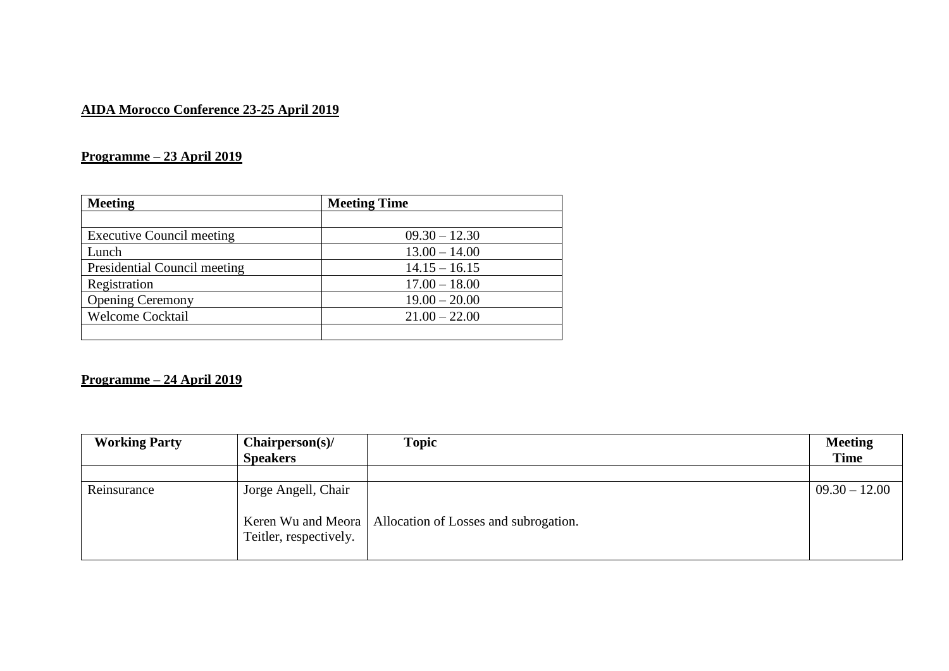## **AIDA Morocco Conference 23-25 April 2019**

## **Programme – 23 April 2019**

| <b>Meeting</b>                   | <b>Meeting Time</b> |
|----------------------------------|---------------------|
|                                  |                     |
| <b>Executive Council meeting</b> | $09.30 - 12.30$     |
| Lunch                            | $13.00 - 14.00$     |
| Presidential Council meeting     | $14.15 - 16.15$     |
| Registration                     | $17.00 - 18.00$     |
| <b>Opening Ceremony</b>          | $19.00 - 20.00$     |
| <b>Welcome Cocktail</b>          | $21.00 - 22.00$     |
|                                  |                     |

## **Programme – 24 April 2019**

| <b>Working Party</b> | Chairperson(s)<br><b>Speakers</b> | <b>Topic</b>                                               | <b>Meeting</b><br><b>Time</b> |
|----------------------|-----------------------------------|------------------------------------------------------------|-------------------------------|
|                      |                                   |                                                            |                               |
| Reinsurance          | Jorge Angell, Chair               |                                                            | $09.30 - 12.00$               |
|                      | Teitler, respectively.            | Keren Wu and Meora   Allocation of Losses and subrogation. |                               |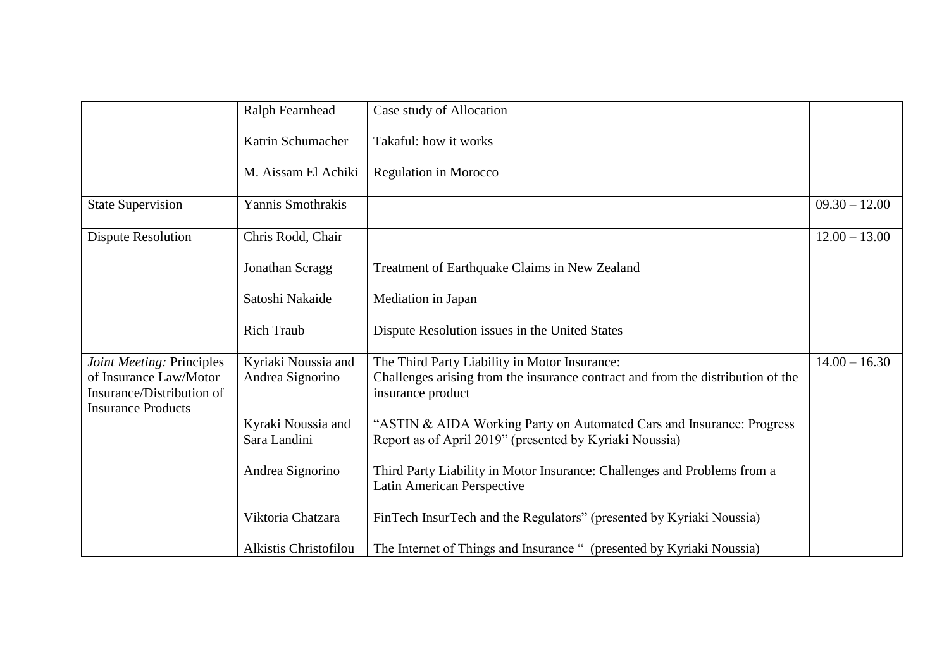|                                                                                  | Ralph Fearnhead                         | Case study of Allocation                                                                                                                              |                 |
|----------------------------------------------------------------------------------|-----------------------------------------|-------------------------------------------------------------------------------------------------------------------------------------------------------|-----------------|
|                                                                                  | Katrin Schumacher                       | Takaful: how it works                                                                                                                                 |                 |
|                                                                                  | M. Aissam El Achiki                     | Regulation in Morocco                                                                                                                                 |                 |
| <b>State Supervision</b>                                                         | Yannis Smothrakis                       |                                                                                                                                                       | $09.30 - 12.00$ |
| <b>Dispute Resolution</b>                                                        | Chris Rodd, Chair                       |                                                                                                                                                       | $12.00 - 13.00$ |
|                                                                                  | Jonathan Scragg                         | Treatment of Earthquake Claims in New Zealand                                                                                                         |                 |
|                                                                                  | Satoshi Nakaide                         | Mediation in Japan                                                                                                                                    |                 |
|                                                                                  | <b>Rich Traub</b>                       | Dispute Resolution issues in the United States                                                                                                        |                 |
| Joint Meeting: Principles<br>of Insurance Law/Motor<br>Insurance/Distribution of | Kyriaki Noussia and<br>Andrea Signorino | The Third Party Liability in Motor Insurance:<br>Challenges arising from the insurance contract and from the distribution of the<br>insurance product | $14.00 - 16.30$ |
| <b>Insurance Products</b>                                                        | Kyraki Noussia and<br>Sara Landini      | "ASTIN & AIDA Working Party on Automated Cars and Insurance: Progress<br>Report as of April 2019" (presented by Kyriaki Noussia)                      |                 |
|                                                                                  | Andrea Signorino                        | Third Party Liability in Motor Insurance: Challenges and Problems from a<br>Latin American Perspective                                                |                 |
|                                                                                  | Viktoria Chatzara                       | FinTech InsurTech and the Regulators" (presented by Kyriaki Noussia)                                                                                  |                 |
|                                                                                  | Alkistis Christofilou                   | The Internet of Things and Insurance " (presented by Kyriaki Noussia)                                                                                 |                 |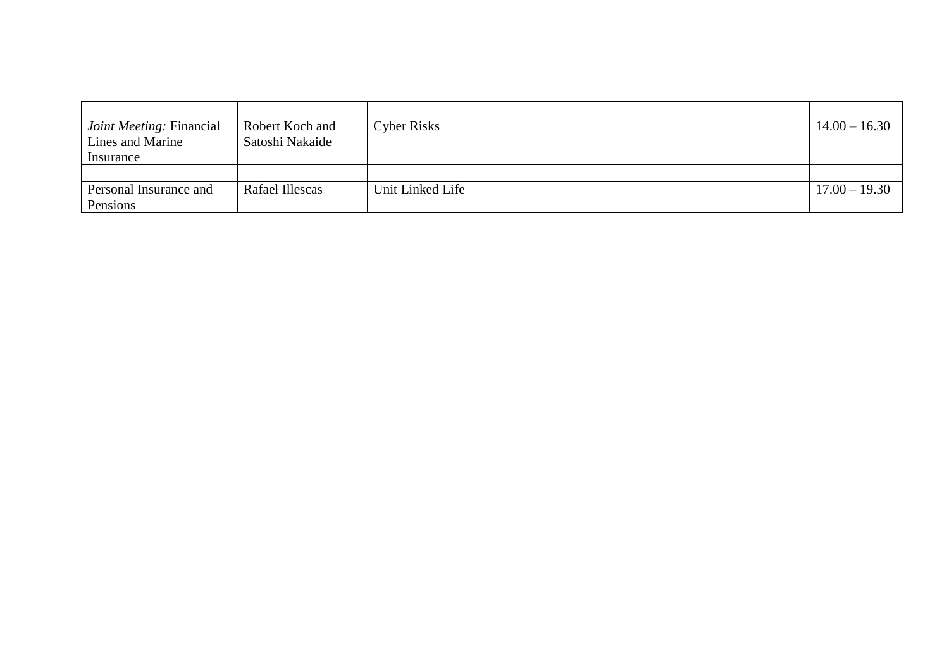| <i>Joint Meeting: Financial</i> | Robert Koch and | <b>Cyber Risks</b> | $14.00 - 16.30$ |
|---------------------------------|-----------------|--------------------|-----------------|
| Lines and Marine                | Satoshi Nakaide |                    |                 |
| Insurance                       |                 |                    |                 |
|                                 |                 |                    |                 |
| Personal Insurance and          | Rafael Illescas | Unit Linked Life   | $17.00 - 19.30$ |
| Pensions                        |                 |                    |                 |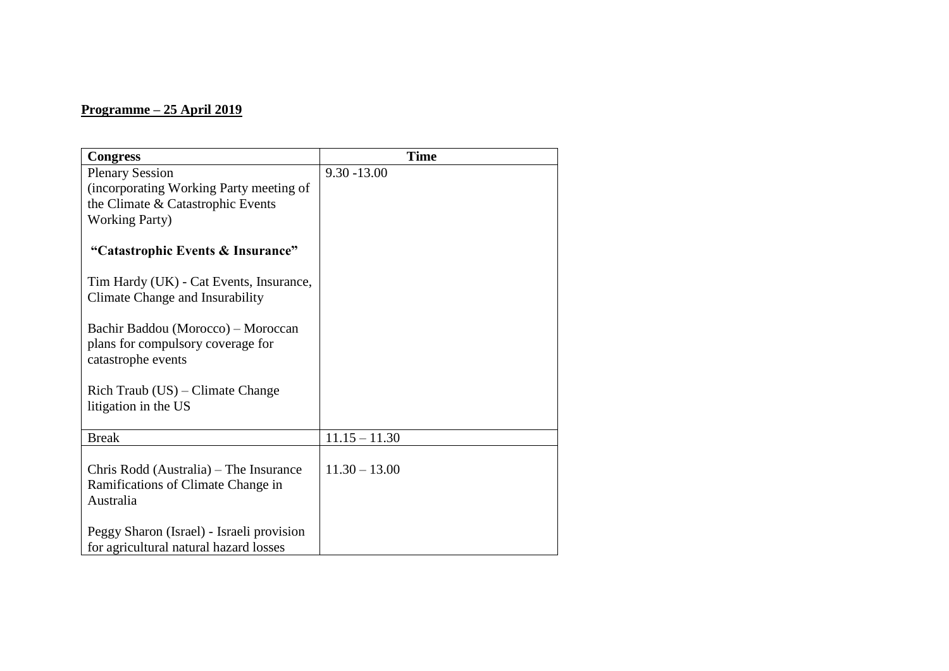## **Programme – 25 April 2019**

| <b>Congress</b>                                         | <b>Time</b>     |
|---------------------------------------------------------|-----------------|
| <b>Plenary Session</b>                                  | $9.30 - 13.00$  |
| (incorporating Working Party meeting of                 |                 |
| the Climate & Catastrophic Events                       |                 |
| <b>Working Party</b> )                                  |                 |
| "Catastrophic Events & Insurance"                       |                 |
| Tim Hardy (UK) - Cat Events, Insurance,                 |                 |
| Climate Change and Insurability                         |                 |
|                                                         |                 |
| Bachir Baddou (Morocco) – Moroccan                      |                 |
| plans for compulsory coverage for<br>catastrophe events |                 |
|                                                         |                 |
| $\text{Rich}$ Traub (US) – Climate Change               |                 |
| litigation in the US                                    |                 |
|                                                         |                 |
| <b>Break</b>                                            | $11.15 - 11.30$ |
| Chris Rodd (Australia) – The Insurance                  | $11.30 - 13.00$ |
| Ramifications of Climate Change in                      |                 |
| Australia                                               |                 |
|                                                         |                 |
| Peggy Sharon (Israel) - Israeli provision               |                 |
| for agricultural natural hazard losses                  |                 |